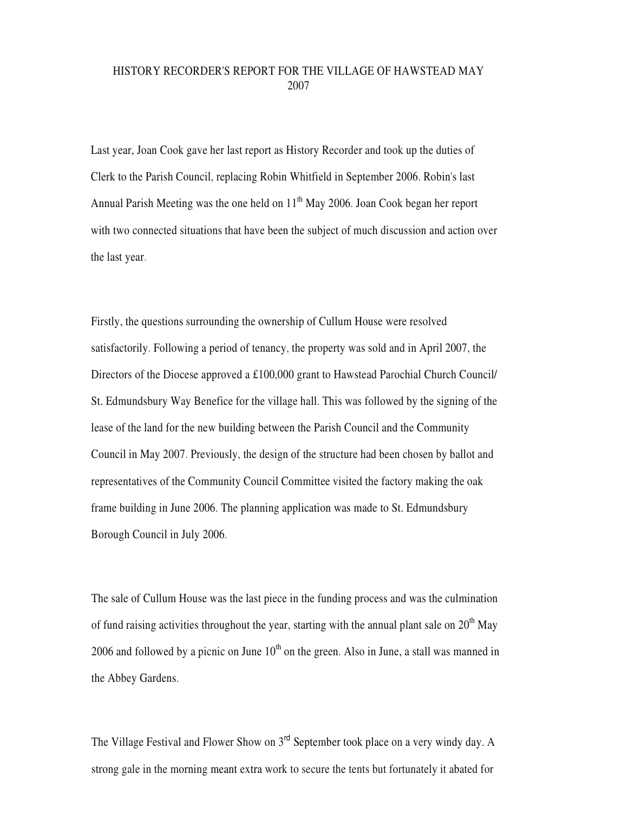## HISTORY RECORDER'S REPORT FOR THE VILLAGE OF HAWSTEAD MAY 2007

Last year, Joan Cook gave her last report as History Recorder and took up the duties of Clerk to the Parish Council, replacing Robin Whitfield in September 2006. Robin's last Annual Parish Meeting was the one held on  $11<sup>th</sup>$  May 2006. Joan Cook began her report with two connected situations that have been the subject of much discussion and action over the last year.

Firstly, the questions surrounding the ownership of Cullum House were resolved satisfactorily. Following a period of tenancy, the property was sold and in April 2007, the Directors of the Diocese approved a £100,000 grant to Hawstead Parochial Church Council/ St. Edmundsbury Way Benefice for the village hall. This was followed by the signing of the lease of the land for the new building between the Parish Council and the Community Council in May 2007. Previously, the design of the structure had been chosen by ballot and representatives of the Community Council Committee visited the factory making the oak frame building in June 2006. The planning application was made to St. Edmundsbury Borough Council in July 2006.

The sale of Cullum House was the last piece in the funding process and was the culmination of fund raising activities throughout the year, starting with the annual plant sale on  $20<sup>th</sup>$  May 2006 and followed by a picnic on June  $10<sup>th</sup>$  on the green. Also in June, a stall was manned in the Abbey Gardens.

The Village Festival and Flower Show on 3<sup>rd</sup> September took place on a very windy day. A strong gale in the morning meant extra work to secure the tents but fortunately it abated for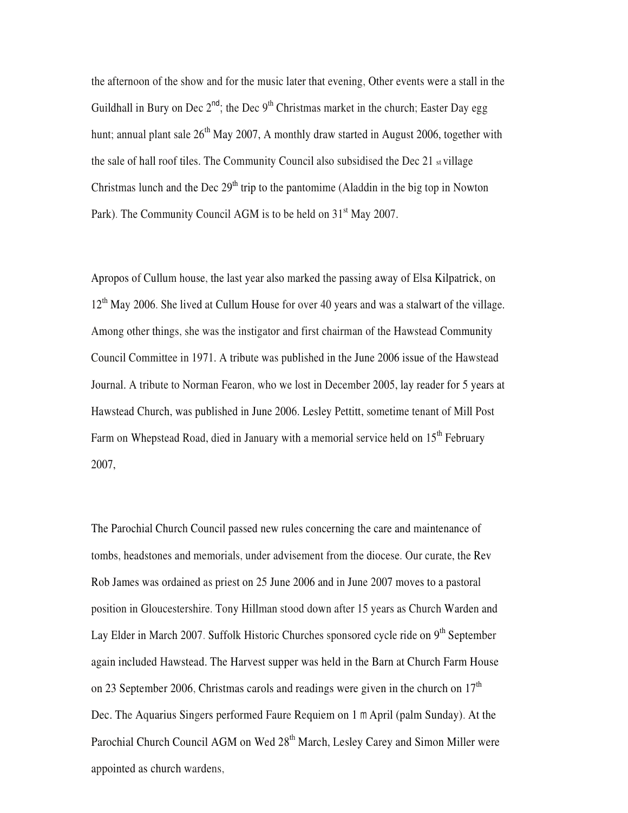the afternoon of the show and for the music later that evening, Other events were a stall in the Guildhall in Bury on Dec  $2^{nd}$ ; the Dec  $9^{th}$  Christmas market in the church; Easter Day egg hunt; annual plant sale  $26<sup>th</sup>$  May 2007, A monthly draw started in August 2006, together with the sale of hall roof tiles. The Community Council also subsidised the Dec 21 st village Christmas lunch and the Dec  $29<sup>th</sup>$  trip to the pantomime (Aladdin in the big top in Nowton Park). The Community Council AGM is to be held on 31<sup>st</sup> May 2007.

Apropos of Cullum house, the last year also marked the passing away of Elsa Kilpatrick, on 12<sup>th</sup> May 2006. She lived at Cullum House for over 40 years and was a stalwart of the village. Among other things, she was the instigator and first chairman of the Hawstead Community Council Committee in 1971. A tribute was published in the June 2006 issue of the Hawstead Journal. A tribute to Norman Fearon, who we lost in December 2005, lay reader for 5 years at Hawstead Church, was published in June 2006. Lesley Pettitt, sometime tenant of Mill Post Farm on Whepstead Road, died in January with a memorial service held on 15<sup>th</sup> February 2007,

The Parochial Church Council passed new rules concerning the care and maintenance of tombs, headstones and memorials, under advisement from the diocese. Our curate, the Rev Rob James was ordained as priest on 25 June 2006 and in June 2007 moves to a pastoral position in Gloucestershire. Tony Hillman stood down after 15 years as Church Warden and Lay Elder in March 2007. Suffolk Historic Churches sponsored cycle ride on 9<sup>th</sup> September again included Hawstead. The Harvest supper was held in the Barn at Church Farm House on 23 September 2006, Christmas carols and readings were given in the church on  $17<sup>th</sup>$ Dec. The Aquarius Singers performed Faure Requiem on 1 m April (palm Sunday). At the Parochial Church Council AGM on Wed 28<sup>th</sup> March, Lesley Carey and Simon Miller were appointed as church wardens,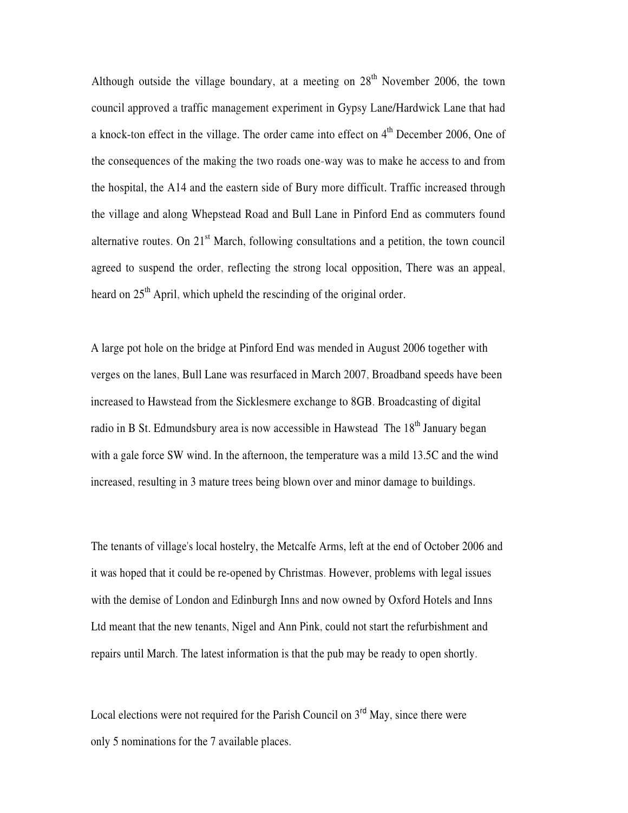Although outside the village boundary, at a meeting on  $28<sup>th</sup>$  November 2006, the town council approved a traffic management experiment in Gypsy Lane/Hardwick Lane that had a knock-ton effect in the village. The order came into effect on  $4<sup>th</sup>$  December 2006, One of the consequences of the making the two roads one-way was to make he access to and from the hospital, the A14 and the eastern side of Bury more difficult. Traffic increased through the village and along Whepstead Road and Bull Lane in Pinford End as commuters found alternative routes. On  $21<sup>st</sup>$  March, following consultations and a petition, the town council agreed to suspend the order, reflecting the strong local opposition, There was an appeal, heard on  $25<sup>th</sup>$  April, which upheld the rescinding of the original order.

A large pot hole on the bridge at Pinford End was mended in August 2006 together with verges on the lanes, Bull Lane was resurfaced in March 2007, Broadband speeds have been increased to Hawstead from the Sicklesmere exchange to 8GB. Broadcasting of digital radio in B St. Edmundsbury area is now accessible in Hawstead The  $18<sup>th</sup>$  January began with a gale force SW wind. In the afternoon, the temperature was a mild 13.5C and the wind increased, resulting in 3 mature trees being blown over and minor damage to buildings.

The tenants of village's local hostelry, the Metcalfe Arms, left at the end of October 2006 and it was hoped that it could be re-opened by Christmas. However, problems with legal issues with the demise of London and Edinburgh Inns and now owned by Oxford Hotels and Inns Ltd meant that the new tenants, Nigel and Ann Pink, could not start the refurbishment and repairs until March. The latest information is that the pub may be ready to open shortly.

Local elections were not required for the Parish Council on  $3<sup>rd</sup>$  May, since there were only 5 nominations for the 7 available places.